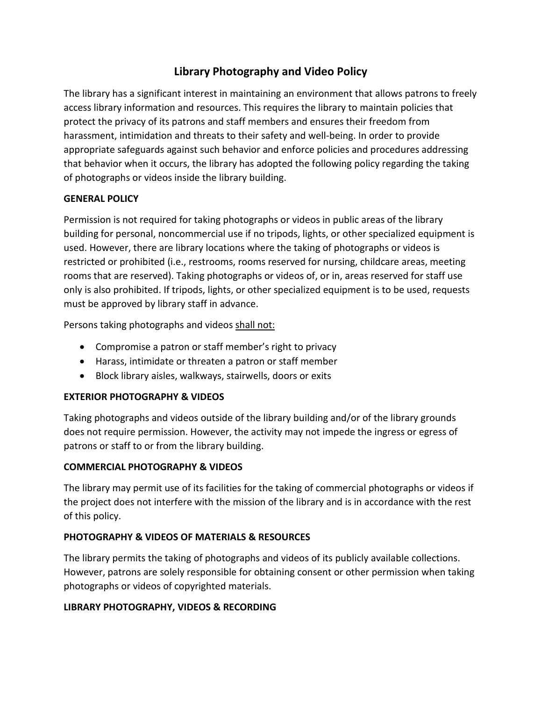# **Library Photography and Video Policy**

The library has a significant interest in maintaining an environment that allows patrons to freely access library information and resources. This requires the library to maintain policies that protect the privacy of its patrons and staff members and ensures their freedom from harassment, intimidation and threats to their safety and well-being. In order to provide appropriate safeguards against such behavior and enforce policies and procedures addressing that behavior when it occurs, the library has adopted the following policy regarding the taking of photographs or videos inside the library building.

## **GENERAL POLICY**

Permission is not required for taking photographs or videos in public areas of the library building for personal, noncommercial use if no tripods, lights, or other specialized equipment is used. However, there are library locations where the taking of photographs or videos is restricted or prohibited (i.e., restrooms, rooms reserved for nursing, childcare areas, meeting rooms that are reserved). Taking photographs or videos of, or in, areas reserved for staff use only is also prohibited. If tripods, lights, or other specialized equipment is to be used, requests must be approved by library staff in advance.

Persons taking photographs and videos shall not:

- Compromise a patron or staff member's right to privacy
- Harass, intimidate or threaten a patron or staff member
- Block library aisles, walkways, stairwells, doors or exits

#### **EXTERIOR PHOTOGRAPHY & VIDEOS**

Taking photographs and videos outside of the library building and/or of the library grounds does not require permission. However, the activity may not impede the ingress or egress of patrons or staff to or from the library building.

# **COMMERCIAL PHOTOGRAPHY & VIDEOS**

The library may permit use of its facilities for the taking of commercial photographs or videos if the project does not interfere with the mission of the library and is in accordance with the rest of this policy.

#### **PHOTOGRAPHY & VIDEOS OF MATERIALS & RESOURCES**

The library permits the taking of photographs and videos of its publicly available collections. However, patrons are solely responsible for obtaining consent or other permission when taking photographs or videos of copyrighted materials.

#### **LIBRARY PHOTOGRAPHY, VIDEOS & RECORDING**